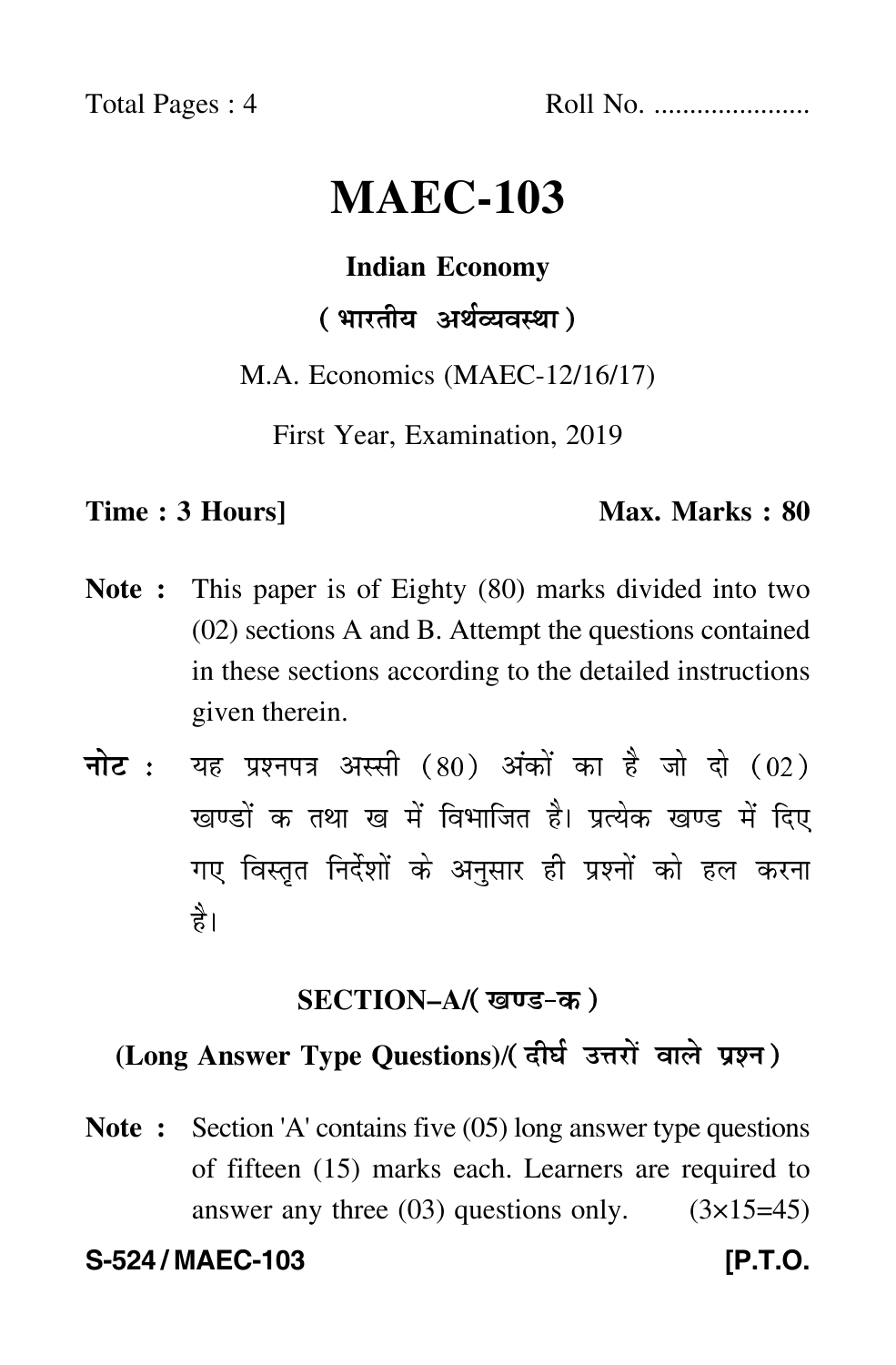Total Pages : 4 Roll No. ......................

# **MAEC-103**

#### **Indian Economy**

## ( भारतीय अर्थव्यवस्था )

#### M.A. Economics (MAEC-12/16/17)

First Year, Examination, 2019

#### **Time : 3 Hours]** Max. Marks : 80

- **Note :** This paper is of Eighty (80) marks divided into two (02) sections A and B. Attempt the questions contained in these sections according to the detailed instructions given therein.
- नोट : यह प्रश्नपत्र अस्सी (80) अंकों का है जो दो (02) खण्डों क तथा ख में विभाजित है। प्रत्येक खण्ड में दिए गए विस्तृत निर्देशों के अनुसार ही प्रश्नों को हल करन<mark>ा</mark> है।

#### **SECTION–A/**

### **(Long Answer Type Questions)**/

**Note :** Section 'A' contains five (05) long answer type questions of fifteen (15) marks each. Learners are required to answer any three  $(03)$  questions only.  $(3\times15=45)$ 

**S-524 / MAEC-103 [P.T.O.**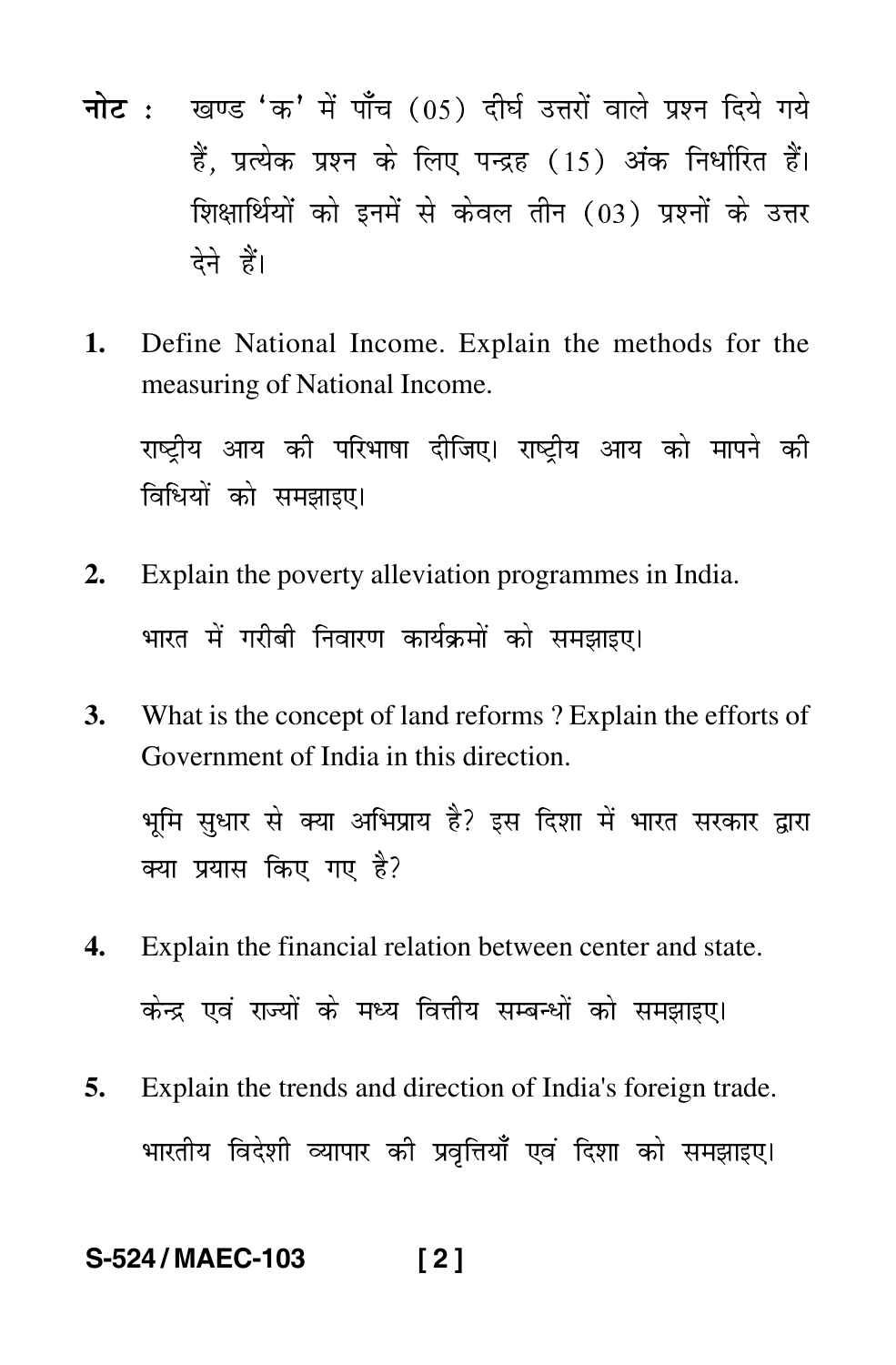- <mark>नोट</mark> : खण्ड 'क' में पाँच (05) दीर्घ उत्तरों वाले प्रश्न दिये गये हैं, प्रत्येक प्रश्न के लिए पन्द्रह (15) अंक निर्धारित हैं। शिक्षार्थियों को इनमें से केवल तीन (03) प्रश्नों के उत्तर देने हैं।
- **1.** Define National Income. Explain the methods for the measuring of National Income.

राष्ट्रीय आय की परिभाषा दीजिए। राष्ट्रीय आय को मापने की -- $\mathfrak{f}$ विधियों को समझाइए।  $\mathfrak{f}$ 

- **2.** Explain the poverty alleviation programmes in India. भारत में गरीबी निवारण कार्यक्रमों को समझाइए। ---
- **3.** What is the concept of land reforms ? Explain the efforts of Government of India in this direction.

भूमि सुधार से क्या अभिप्राय है? इस दिशा में भारत सरकार द्वारा ---क्या प्रयास किए गए है?

- **4.** Explain the financial relation between center and state. केन्द्र एवं राज्यों के मध्य वित्तीय सम्बन्धों को समझाइए। -
- **5.** Explain the trends and direction of India's foreign trade. भारतीय विदेशी व्यापार की प्रवृत्तियाँ एवं दिशा को समझाइए। ---

#### **S-524 / MAEC-103 [ 2 ]**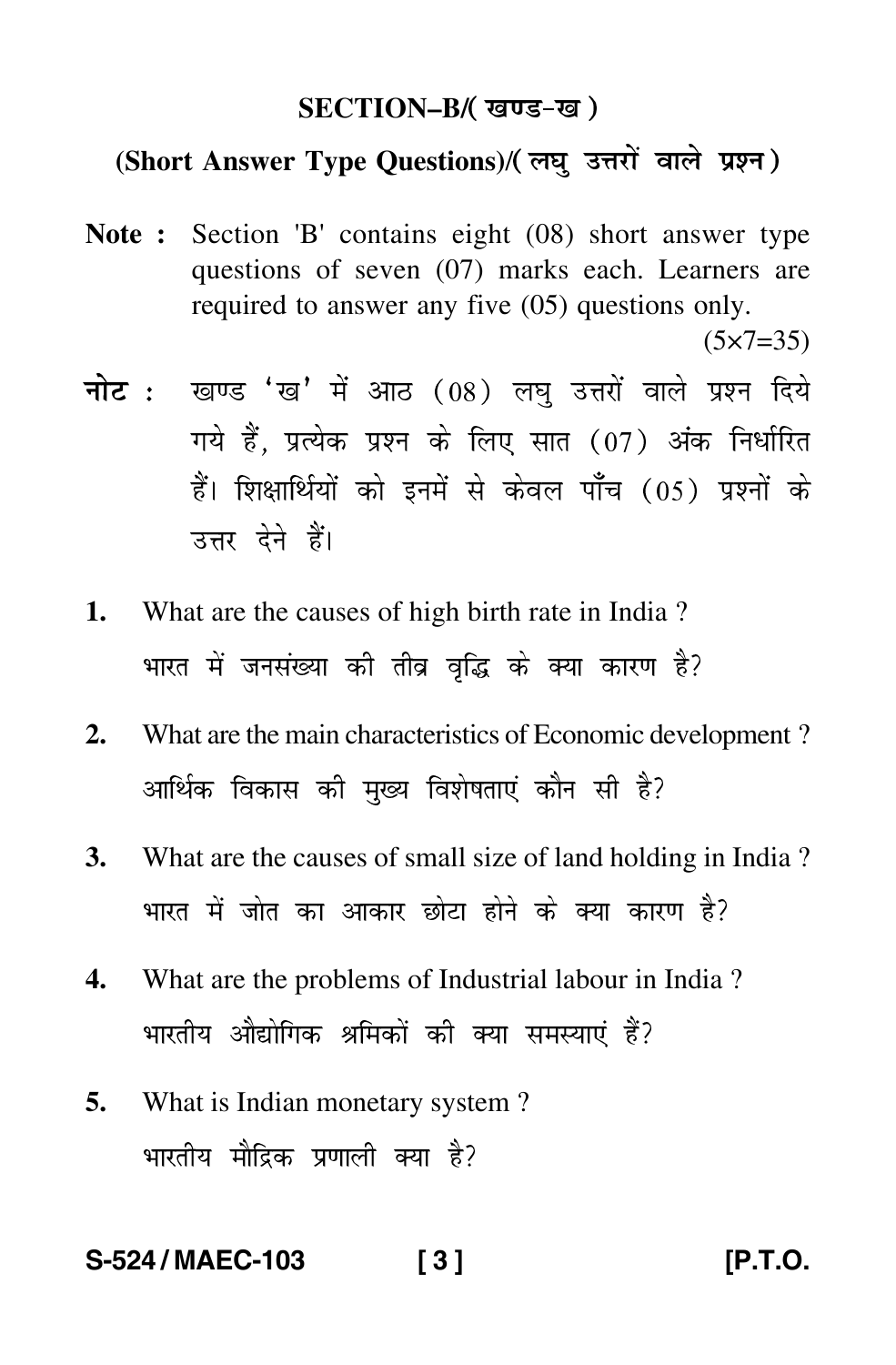#### **SECTION–B/**

### **(Short Answer Type Questions)**/

**Note :** Section 'B' contains eight (08) short answer type questions of seven (07) marks each. Learners are required to answer any five (05) questions only.

 $(5 \times 7 = 35)$ 

- <mark>नोट</mark> : खण्ड 'ख' में आठ (08) लघु उत्तरों वाले प्रश्न दिये गये हैं, प्रत्येक प्रश्न के लिए सात (07) अंक निर्धारित हैं। शिक्षार्थियों को इनमें से केवल पाँच (05) प्रश्नों के उत्तर देने हैं।
- **1.** What are the causes of high birth rate in India ? भारत में जनसंख्या की तीव्र वृद्धि के क्या कारण है? --
- **2.** What are the main characteristics of Economic development ? आर्थिक विकास की मुख्य विशेषताएं कौन सी है? -ן<br>|
- **3.** What are the causes of small size of land holding in India ? भारत में जोत का आकार छोटा होने के क्या कारण है? ----
- **4.** What are the problems of Industrial labour in India ? भारतीय औद्योगिक श्रमिकों की क्या समस्याएं हैं? --
- **5.** What is Indian monetary system ? भारतीय मौद्रिक प्रणाली क्या है? --

**S-524 / MAEC-103 [ 3 ] [P.T.O.**